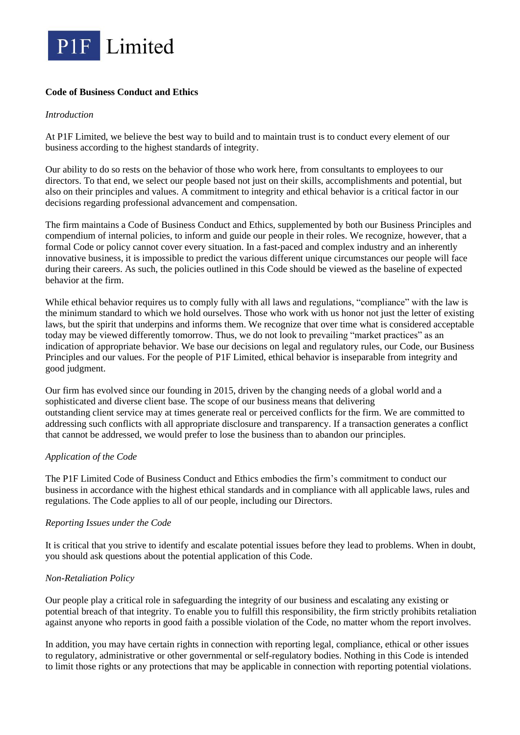

# **Code of Business Conduct and Ethics**

#### *Introduction*

At P1F Limited, we believe the best way to build and to maintain trust is to conduct every element of our business according to the highest standards of integrity.

Our ability to do so rests on the behavior of those who work here, from consultants to employees to our directors. To that end, we select our people based not just on their skills, accomplishments and potential, but also on their principles and values. A commitment to integrity and ethical behavior is a critical factor in our decisions regarding professional advancement and compensation.

The firm maintains a Code of Business Conduct and Ethics, supplemented by both our Business Principles and compendium of internal policies, to inform and guide our people in their roles. We recognize, however, that a formal Code or policy cannot cover every situation. In a fast-paced and complex industry and an inherently innovative business, it is impossible to predict the various different unique circumstances our people will face during their careers. As such, the policies outlined in this Code should be viewed as the baseline of expected behavior at the firm.

While ethical behavior requires us to comply fully with all laws and regulations, "compliance" with the law is the minimum standard to which we hold ourselves. Those who work with us honor not just the letter of existing laws, but the spirit that underpins and informs them. We recognize that over time what is considered acceptable today may be viewed differently tomorrow. Thus, we do not look to prevailing "market practices" as an indication of appropriate behavior. We base our decisions on legal and regulatory rules, our Code, our Business Principles and our values. For the people of P1F Limited, ethical behavior is inseparable from integrity and good judgment.

Our firm has evolved since our founding in 2015, driven by the changing needs of a global world and a sophisticated and diverse client base. The scope of our business means that delivering outstanding client service may at times generate real or perceived conflicts for the firm. We are committed to addressing such conflicts with all appropriate disclosure and transparency. If a transaction generates a conflict that cannot be addressed, we would prefer to lose the business than to abandon our principles.

### *Application of the Code*

The P1F Limited Code of Business Conduct and Ethics embodies the firm's commitment to conduct our business in accordance with the highest ethical standards and in compliance with all applicable laws, rules and regulations. The Code applies to all of our people, including our Directors.

### *Reporting Issues under the Code*

It is critical that you strive to identify and escalate potential issues before they lead to problems. When in doubt, you should ask questions about the potential application of this Code.

### *Non-Retaliation Policy*

Our people play a critical role in safeguarding the integrity of our business and escalating any existing or potential breach of that integrity. To enable you to fulfill this responsibility, the firm strictly prohibits retaliation against anyone who reports in good faith a possible violation of the Code, no matter whom the report involves.

In addition, you may have certain rights in connection with reporting legal, compliance, ethical or other issues to regulatory, administrative or other governmental or self-regulatory bodies. Nothing in this Code is intended to limit those rights or any protections that may be applicable in connection with reporting potential violations.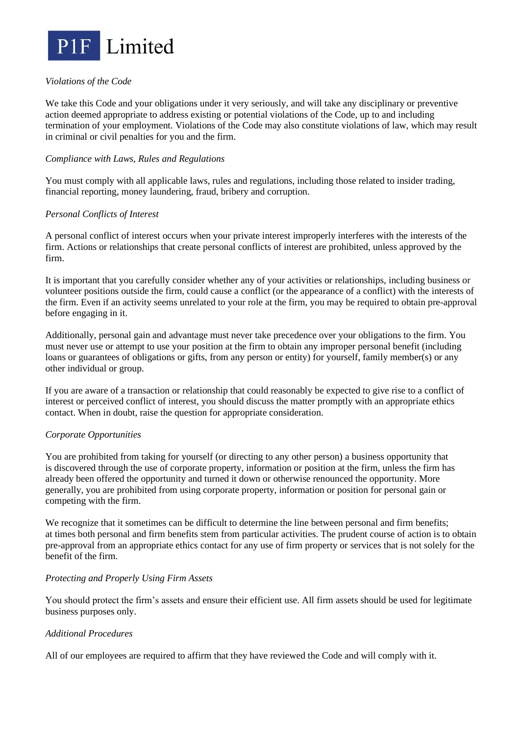

## *Violations of the Code*

We take this Code and your obligations under it very seriously, and will take any disciplinary or preventive action deemed appropriate to address existing or potential violations of the Code, up to and including termination of your employment. Violations of the Code may also constitute violations of law, which may result in criminal or civil penalties for you and the firm.

### *Compliance with Laws, Rules and Regulations*

You must comply with all applicable laws, rules and regulations, including those related to insider trading, financial reporting, money laundering, fraud, bribery and corruption.

## *Personal Conflicts of Interest*

A personal conflict of interest occurs when your private interest improperly interferes with the interests of the firm. Actions or relationships that create personal conflicts of interest are prohibited, unless approved by the firm.

It is important that you carefully consider whether any of your activities or relationships, including business or volunteer positions outside the firm, could cause a conflict (or the appearance of a conflict) with the interests of the firm. Even if an activity seems unrelated to your role at the firm, you may be required to obtain pre-approval before engaging in it.

Additionally, personal gain and advantage must never take precedence over your obligations to the firm. You must never use or attempt to use your position at the firm to obtain any improper personal benefit (including loans or guarantees of obligations or gifts, from any person or entity) for yourself, family member(s) or any other individual or group.

If you are aware of a transaction or relationship that could reasonably be expected to give rise to a conflict of interest or perceived conflict of interest, you should discuss the matter promptly with an appropriate ethics contact. When in doubt, raise the question for appropriate consideration.

### *Corporate Opportunities*

You are prohibited from taking for yourself (or directing to any other person) a business opportunity that is discovered through the use of corporate property, information or position at the firm, unless the firm has already been offered the opportunity and turned it down or otherwise renounced the opportunity. More generally, you are prohibited from using corporate property, information or position for personal gain or competing with the firm.

We recognize that it sometimes can be difficult to determine the line between personal and firm benefits; at times both personal and firm benefits stem from particular activities. The prudent course of action is to obtain pre-approval from an appropriate ethics contact for any use of firm property or services that is not solely for the benefit of the firm.

### *Protecting and Properly Using Firm Assets*

You should protect the firm's assets and ensure their efficient use. All firm assets should be used for legitimate business purposes only.

### *Additional Procedures*

All of our employees are required to affirm that they have reviewed the Code and will comply with it.